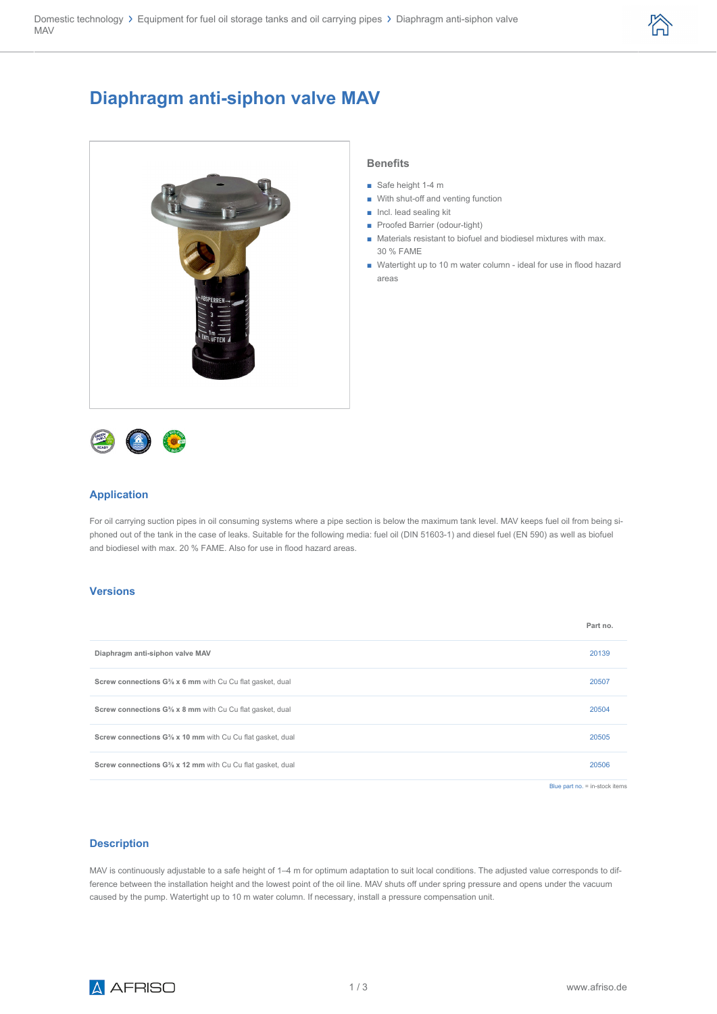

# **Diaphragm anti-siphon valve MAV**





- Safe height 1-4 m
- With shut-off and venting function
- Incl. lead sealing kit
- Proofed Barrier (odour-tight)
- Materials resistant to biofuel and biodiesel mixtures with max. 30 % FAME
- Watertight up to 10 m water column ideal for use in flood hazard areas



#### **Application**

For oil carrying suction pipes in oil consuming systems where a pipe section is below the maximum tank level. MAV keeps fuel oil from being siphoned out of the tank in the case of leaks. Suitable for the following media: fuel oil (DIN 51603-1) and diesel fuel (EN 590) as well as biofuel and biodiesel with max. 20 % FAME. Also for use in flood hazard areas.

#### **Versions**

|                                                                                     | Part no.                         |
|-------------------------------------------------------------------------------------|----------------------------------|
| Diaphragm anti-siphon valve MAV                                                     | 20139                            |
| Screw connections G <sup>3</sup> / <sub>8</sub> x 6 mm with Cu Cu flat gasket, dual | 20507                            |
| Screw connections G <sup>3</sup> / <sub>8</sub> x 8 mm with Cu Cu flat gasket, dual | 20504                            |
| Screw connections G% x 10 mm with Cu Cu flat gasket, dual                           | 20505                            |
| Screw connections G% x 12 mm with Cu Cu flat gasket, dual                           | 20506                            |
|                                                                                     | Blue part no. $=$ in-stock items |

## **Description**

MAV is continuously adjustable to a safe height of 1–4 m for optimum adaptation to suit local conditions. The adjusted value corresponds to difference between the installation height and the lowest point of the oil line. MAV shuts off under spring pressure and opens under the vacuum caused by the pump. Watertight up to 10 m water column. If necessary, install a pressure compensation unit.

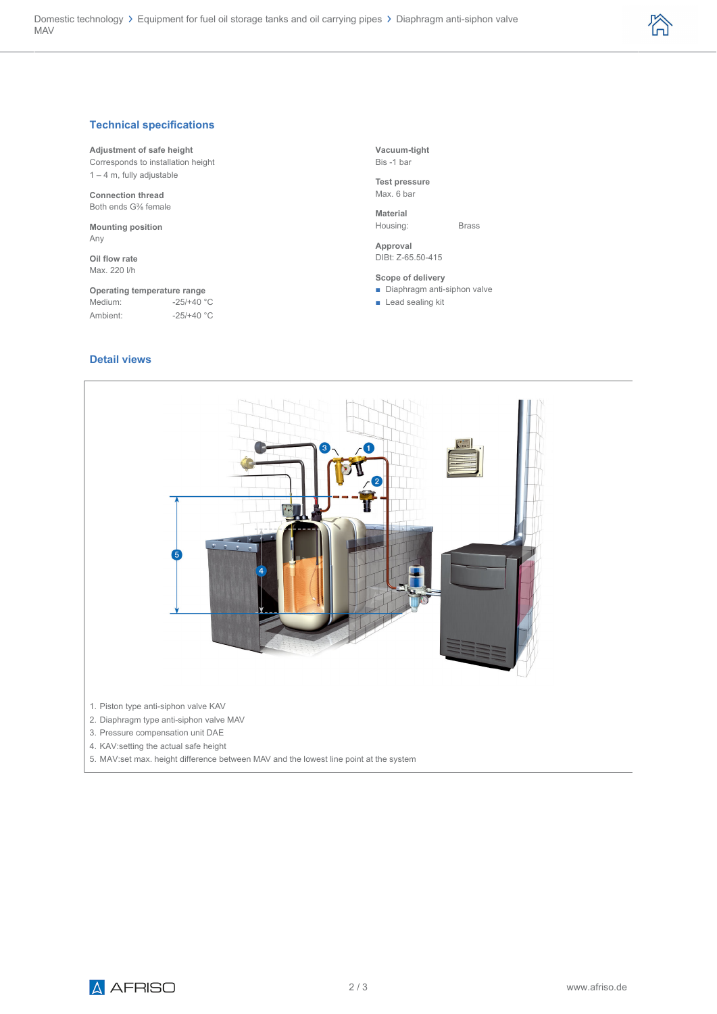

### **Technical specifications**

#### **Adjustment of safe height**

Corresponds to installation height 1 – 4 m, fully adjustable

**Connection thread** Both ends G⅜ female

**Mounting position** Any

**Oil flow rate** Max. 220 l/h

#### **Operating temperature range**<br>Medium: -25/+40 °  $-25/+40$  °C

Ambient: -25/+40 °C

### **Detail views**

**Vacuum-tight** Bis -1 bar

**Test pressure** Max. 6 bar

**Material** Housing: Brass

**Approval** DIBt: Z-65.50-415

**Scope of delivery**

■ Diaphragm anti-siphon valve

■ Lead sealing kit